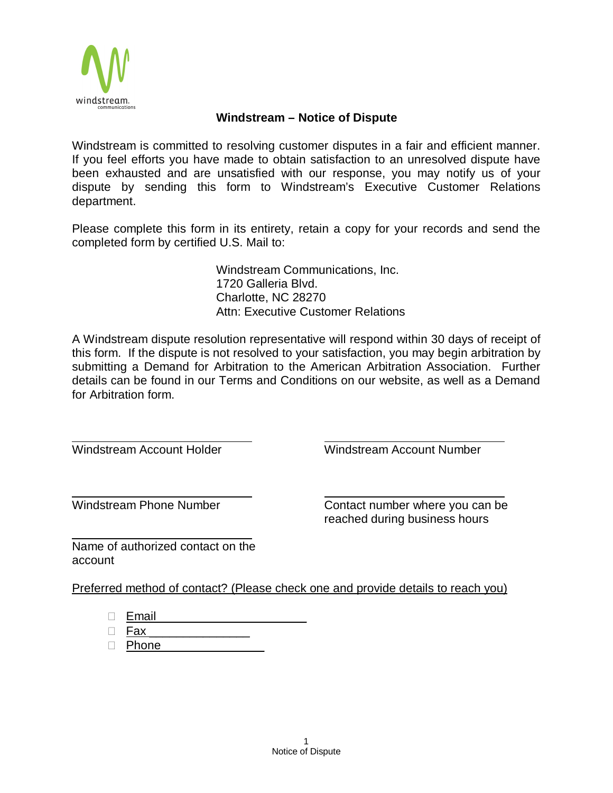

## **Windstream – Notice of Dispute**

Windstream is committed to resolving customer disputes in a fair and efficient manner. If you feel efforts you have made to obtain satisfaction to an unresolved dispute have been exhausted and are unsatisfied with our response, you may notify us of your dispute by sending this form to Windstream's Executive Customer Relations department.

Please complete this form in its entirety, retain a copy for your records and send the completed form by certified U.S. Mail to:

> Windstream Communications, Inc. 1720 Galleria Blvd. Charlotte, NC 28270 Attn: Executive Customer Relations

A Windstream dispute resolution representative will respond within 30 days of receipt of this form. If the dispute is not resolved to your satisfaction, you may begin arbitration by submitting a Demand for Arbitration to the American Arbitration Association. Further details can be found in our Terms and Conditions on our website, as well as a Demand for Arbitration form.

Windstream Account Holder Windstream Account Number

Windstream Phone Number **Contact number where you can be** reached during business hours

Name of authorized contact on the account

Preferred method of contact? (Please check one and provide details to reach you)

 $\Box$  Email

 $\square$  Fax

 $\Box$  Phone